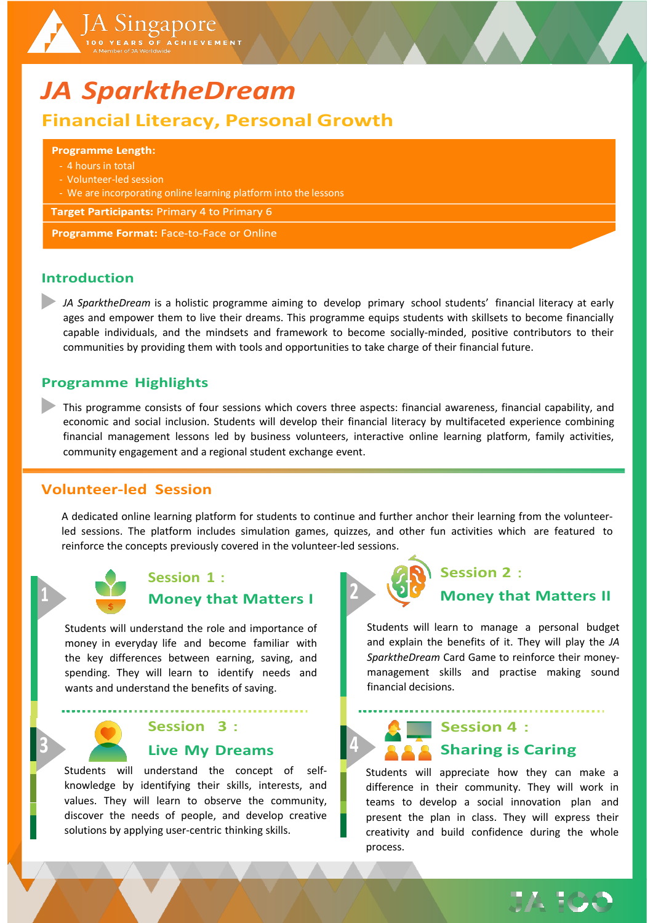

### **Introduction**

*JA SparktheDream* is a holistic programme aiming to develop primary school students' financial literacy at early ages and empower them to live their dreams. This programme equips students with skillsets to become financially capable individuals, and the mindsets and framework to become socially-minded, positive contributors to their communities by providing them with tools and opportunities to take charge of their financial future.

### **Programme Highlights**

This programme consists of four sessions which covers three aspects: financial awareness, financial capability, and economic and social inclusion. Students will develop their financial literacy by multifaceted experience combining financial management lessons led by business volunteers, interactive online learning platform, family activities, community engagement and a regional student exchange event.

### **Volunteer-led Session**

A dedicated online learning platform for students to continue and further anchor their learning from the volunteerled sessions. The platform includes simulation games, quizzes, and other fun activities which are featured to reinforce the concepts previously covered in the volunteer-led sessions.



### **Session 1**: **1 Money that Matters I**

Students will understand the role and importance of money in everyday life and become familiar with the key differences between earning, saving, and spending. They will learn to identify needs and wants and understand the benefits of saving.

> **Session 3**: **3 Live My Dreams**

Students will understand the concept of selfknowledge by identifying their skills, interests, and values. They will learn to observe the community, discover the needs of people, and develop creative solutions by applying user-centric thinking skills.

## **Session 2**: **2 Money that Matters II**

Students will learn to manage a personal budget and explain the benefits of it. They will play the *JA SparktheDream* Card Game to reinforce their moneymanagement skills and practise making sound financial decisions.

**Session 4**: **4 Sharing is Caring**

Students will appreciate how they can make a difference in their community. They will work in teams to develop a social innovation plan and present the plan in class. They will express their creativity and build confidence during the whole process.

**JA 100**